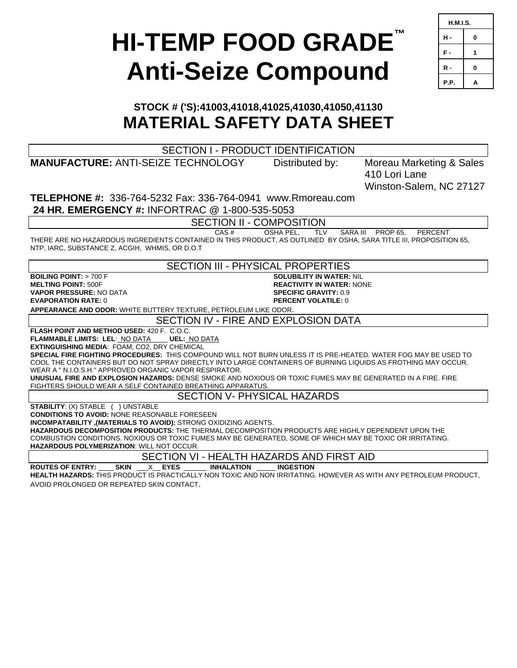# **HI-TEMP FOOD GRADE™ Anti-Seize Compound**

| <b>H.M.I.S.</b> |   |  |
|-----------------|---|--|
| н.              | 0 |  |
| F.              | 1 |  |
| R -             | 0 |  |
| P.P.            | ٥ |  |

# **STOCK # ('S):41003,41018,41025,41030,41050,41130 MATERIAL SAFETY DATA SHEET**

| <b>SECTION I - PRODUCT IDENTIFICATION</b>                                                                                                                                                                                               |                                  |                          |  |
|-----------------------------------------------------------------------------------------------------------------------------------------------------------------------------------------------------------------------------------------|----------------------------------|--------------------------|--|
| <b>MANUFACTURE: ANTI-SEIZE TECHNOLOGY</b>                                                                                                                                                                                               | Distributed by:                  | Moreau Marketing & Sales |  |
|                                                                                                                                                                                                                                         |                                  | 410 Lori Lane            |  |
|                                                                                                                                                                                                                                         |                                  | Winston-Salem, NC 27127  |  |
| <b>TELEPHONE #: 336-764-5232 Fax: 336-764-0941 www.Rmoreau.com</b>                                                                                                                                                                      |                                  |                          |  |
| 24 HR. EMERGENCY #: INFORTRAC @ 1-800-535-5053                                                                                                                                                                                          |                                  |                          |  |
|                                                                                                                                                                                                                                         |                                  |                          |  |
| <b>SECTION II - COMPOSITION</b>                                                                                                                                                                                                         |                                  |                          |  |
| CAS#<br>OSHA PEL.<br><b>TLV</b><br>SARA III PROP 65.<br>PERCENT<br>THERE ARE NO HAZARDOUS INGREDIENTS CONTAINED IN THIS PRODUCT, AS OUTLINED BY OSHA, SARA TITLE III, PROPOSITION 65,<br>NTP, IARC, SUBSTANCE Z, ACGIH, WHMIS, OR D.O.T |                                  |                          |  |
| <b>SECTION III - PHYSICAL PROPERTIES</b>                                                                                                                                                                                                |                                  |                          |  |
| <b>SOLUBILITY IN WATER: NIL</b><br><b>BOILING POINT: <math>&gt; 700</math> F</b>                                                                                                                                                        |                                  |                          |  |
| <b>MELTING POINT: 500F</b>                                                                                                                                                                                                              | <b>REACTIVITY IN WATER: NONE</b> |                          |  |
| <b>VAPOR PRESSURE: NO DATA</b>                                                                                                                                                                                                          | <b>SPECIFIC GRAVITY: 0.9</b>     |                          |  |
| <b>EVAPORATION RATE: 0</b>                                                                                                                                                                                                              | <b>PERCENT VOLATILE: 0</b>       |                          |  |
| APPEARANCE AND ODOR: WHITE BUTTERY TEXTURE, PETROLEUM LIKE ODOR.                                                                                                                                                                        |                                  |                          |  |
| SECTION IV - FIRE AND EXPLOSION DATA                                                                                                                                                                                                    |                                  |                          |  |
| <b>FLASH POINT AND METHOD USED: 420 F. C.O.C.</b>                                                                                                                                                                                       |                                  |                          |  |
| <b>FLAMMABLE LIMITS: LEL: NO DATA UEL: NO DATA</b>                                                                                                                                                                                      |                                  |                          |  |
| EXTINGUISHING MEDIA: FOAM, CO2, DRY CHEMICAL<br>SPECIAL FIRE FIGHTING PROCEDURES: THIS COMPOUND WILL NOT BURN UNLESS IT IS PRE-HEATED. WATER FOG MAY BE USED TO                                                                         |                                  |                          |  |
| COOL THE CONTAINERS BUT DO NOT SPRAY DIRECTLY INTO LARGE CONTAINERS OF BURNING LIQUIDS AS FROTHING MAY OCCUR.                                                                                                                           |                                  |                          |  |
| WEAR A " N.I.O.S.H." APPROVED ORGANIC VAPOR RESPIRATOR.                                                                                                                                                                                 |                                  |                          |  |
| UNUSUAL FIRE AND EXPLOSION HAZARDS: DENSE SMOKE AND NOXIOUS OR TOXIC FUMES MAY BE GENERATED IN A FIRE. FIRE                                                                                                                             |                                  |                          |  |
| FIGHTERS SHOULD WEAR A SELF CONTAINED BREATHING APPARATUS.                                                                                                                                                                              |                                  |                          |  |
| <b>SECTION V- PHYSICAL HAZARDS</b>                                                                                                                                                                                                      |                                  |                          |  |
| <b>STABILITY: (X) STABLE ( ) UNSTABLE</b>                                                                                                                                                                                               |                                  |                          |  |
| <b>CONDITIONS TO AVOID: NONE REASONABLE FORESEEN</b>                                                                                                                                                                                    |                                  |                          |  |
| INCOMPATABILITY ,(MATERIALS TO AVOID): STRONG OXIDIZING AGENTS.                                                                                                                                                                         |                                  |                          |  |
| <b>HAZARDOUS DECOMPOSITION PRODUCTS:</b> THE THERMAL DECOMPOSITION PRODUCTS ARE HIGHLY DEPENDENT UPON THE                                                                                                                               |                                  |                          |  |
| COMBUSTION CONDITIONS. NOXIOUS OR TOXIC FUMES MAY BE GENERATED, SOME OF WHICH MAY BE TOXIC OR IRRITATING.<br>HAZARDOUS POLYMERIZATION: WILL NOT OCCUR.                                                                                  |                                  |                          |  |
|                                                                                                                                                                                                                                         |                                  |                          |  |
| SECTION VI - HEALTH HAZARDS AND FIRST AID                                                                                                                                                                                               |                                  |                          |  |
| <b>ROUTES OF ENTRY:</b><br><b>SKIN</b><br>X EYES<br><b>INHALATION</b>                                                                                                                                                                   | <b>INGESTION</b>                 |                          |  |
| <b>HEALTH HAZARDS:</b> THIS PRODUCT IS PRACTICALLY NON TOXIC AND NON IRRITATING. HOWEVER AS WITH ANY PETROLEUM PRODUCT,                                                                                                                 |                                  |                          |  |

AVOID PROLONGED OR REPEATED SKIN CONTACT.